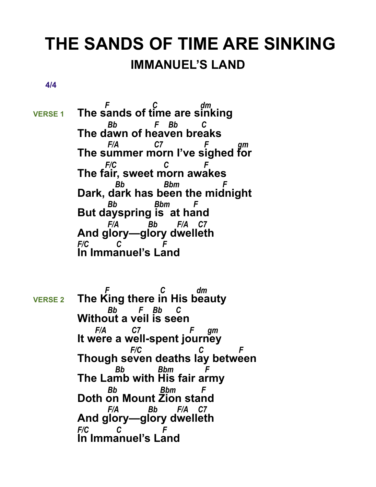## **THE SANDS OF TIME ARE SINKING IMMANUEL'S LAND**

 **4/4** 

 *F C dm* **VERSE 1 The sands of time are sinking**  *Bb F Bb C* **The dawn of heaven breaks**  *F/A C7 F gm* **The summer morn I've sighed for**  *F/C C F* **The fair, sweet morn awakes**  *Bb Bbm F* **Dark, dark has been the midnight**  *Bb Bbm F* **But dayspring is at hand**  *F/A Bb F/A C7* **And glory—glory dwelleth** *F/C C F* **In Immanuel's Land**

 *F C dm*  **VERSE 2 The King there in His beauty**  *Bb F Bb C* **Without a veil is seen**  *F/A C7 F gm* **It were a well-spent journey**  *F/C C F* **Though seven deaths lay between**  *Bb Bbm F* **The Lamb with His fair army**  *Bb Bbm F* **Doth on Mount Zion stand**  *F/A Bb F/A C7* **And glory—glory dwelleth** *F/C C F* **In Immanuel's Land**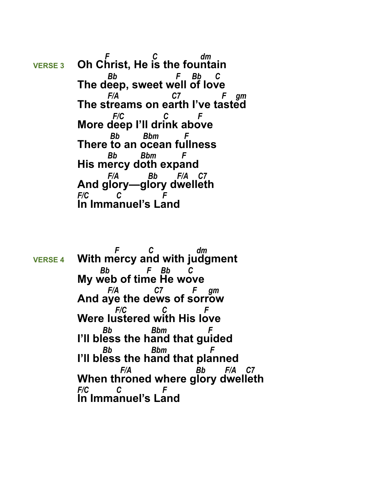*F C dm* **VERSE 3 Oh Christ, He is the fountain**  *Bb F Bb C* **The deep, sweet well of love**  *F/A C7 F gm* **The streams on earth I've tasted**  *F/C C F* **More deep I'll drink above**  *Bb Bbm F* **There to an ocean fullness**  *Bb Bbm F* **His mercy doth expand**  *F/A Bb F/A C7* **And glory—glory dwelleth** *F/C C F* **In Immanuel's Land**

 *F C dm*  **VERSE 4 With mercy and with judgment**  *Bb F Bb C* **My web of time He wove**  *F/A C7 F gm* **And aye the dews of sorrow**  *F/C C F* **Were lustered with His love**  *Bb Bbm F* **I'll bless the hand that guided**  *Bb Bbm F* **I'll bless the hand that planned**  *F/A Bb F/A C7* **When throned where glory dwelleth** *F/C C F* **In Immanuel's Land**